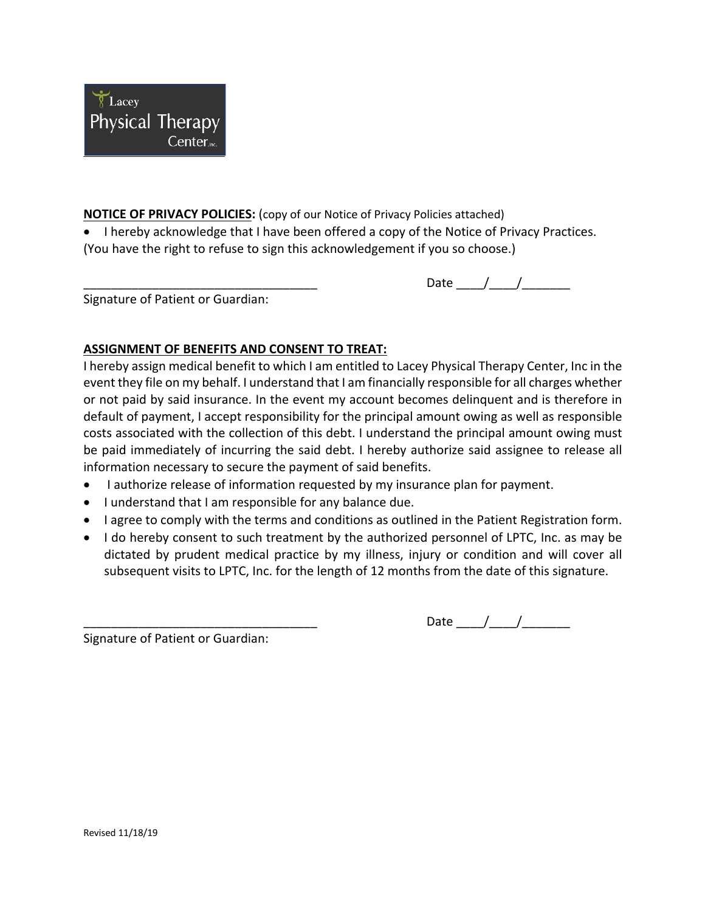

## **NOTICE OF PRIVACY POLICIES:** (copy of our Notice of Privacy Policies attached)

• I hereby acknowledge that I have been offered a copy of the Notice of Privacy Practices. (You have the right to refuse to sign this acknowledgement if you so choose.)

Date  $\frac{1}{\sqrt{2\pi}}$ 

Signature of Patient or Guardian:

## **ASSIGNMENT OF BENEFITS AND CONSENT TO TREAT:**

I hereby assign medical benefit to which I am entitled to Lacey Physical Therapy Center, Inc in the event they file on my behalf. I understand that I am financially responsible for all charges whether or not paid by said insurance. In the event my account becomes delinquent and is therefore in default of payment, I accept responsibility for the principal amount owing as well as responsible costs associated with the collection of this debt. I understand the principal amount owing must be paid immediately of incurring the said debt. I hereby authorize said assignee to release all information necessary to secure the payment of said benefits.

- I authorize release of information requested by my insurance plan for payment.
- I understand that I am responsible for any balance due.
- I agree to comply with the terms and conditions as outlined in the Patient Registration form.
- I do hereby consent to such treatment by the authorized personnel of LPTC, Inc. as may be dictated by prudent medical practice by my illness, injury or condition and will cover all subsequent visits to LPTC, Inc. for the length of 12 months from the date of this signature.

Signature of Patient or Guardian:

\_\_\_\_\_\_\_\_\_\_\_\_\_\_\_\_\_\_\_\_\_\_\_\_\_\_\_\_\_\_\_\_\_\_ Date \_\_\_\_/\_\_\_\_/\_\_\_\_\_\_\_